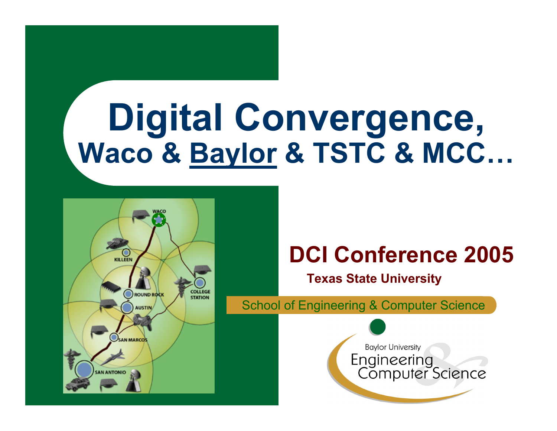# **Digital Convergence, Waco & Baylor & TSTC & MCC…**



### **DCI Conference 2005**

**Texas State University**

School of Engineering & Computer Science

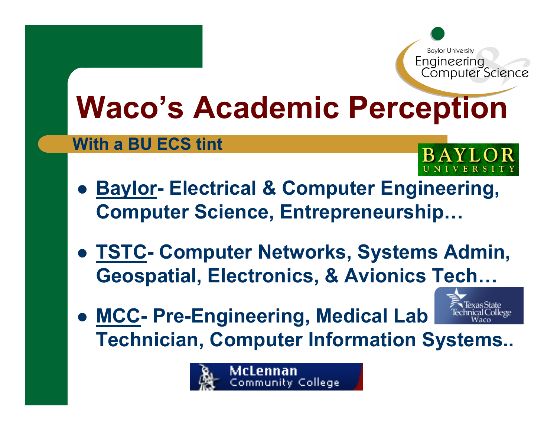## **Waco's Academic Perception**

#### **With a BU ECS tint**



- $\bullet$ **• Baylor - Electrical & Computer Engineering, Computer Science, Entrepreneurship…**
- z **TSTC - Computer Networks, Systems Admin, Geospatial, Electronics, & Avionics Tech…**
- z **MCC - Pre-Engineering, Medical Lab Technician, Computer Information Systems..**

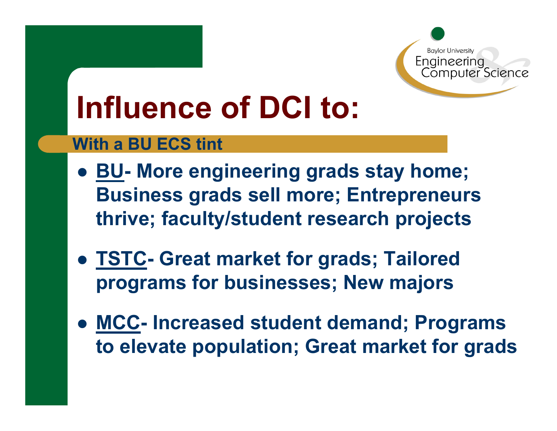### **Influence of DCI to:**

#### **With a BU ECS tint**

- $\bullet$  **BU - More engineering grads stay home; Business grads sell more; Entrepreneurs thrive; faculty/student research projects**
- **TSTC- Great market for grads; Tailored programs for businesses; New majors**
- $\bullet$  **MCC - Increased student demand; Programs to elevate population; Great market for grads**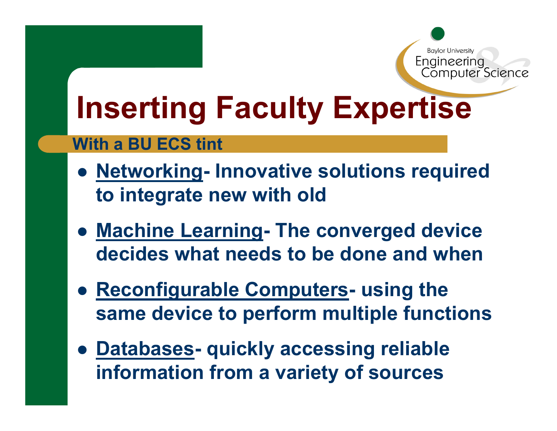### **Inserting Faculty Expertise**

#### **With a BU ECS tint**

- $\bullet$  **Networking - Innovative solutions required to integrate new with old**
- **Machine Learning - The converged device decides what needs to be done and when**
- $\bullet$  **Reconfigurable Computers - using the same device to perform multiple functions**
- z **Databases quickly accessing reliable information from a variety of sources**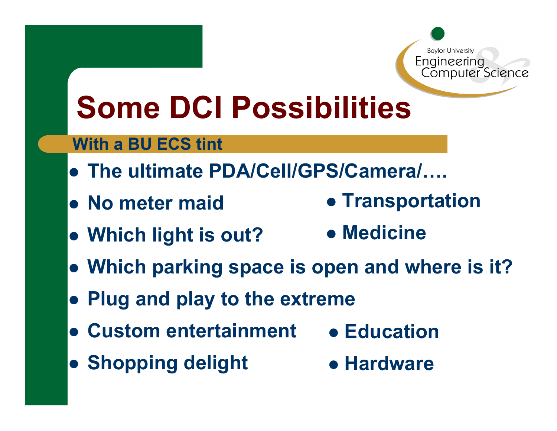### **Some DCI Possibilities**

#### **With a BU ECS tint**

- z **The ultimate PDA/Cell/GPS/Camera/….**
- z **No meter maid • Transportation** 
	- z **Which light is out? • Medicine**
- **Which parking space is open and where is it?**
- **Plug and play to the extreme**
- **Custom entertainment • Education**
- **Shopping delight**

**• Hardware**